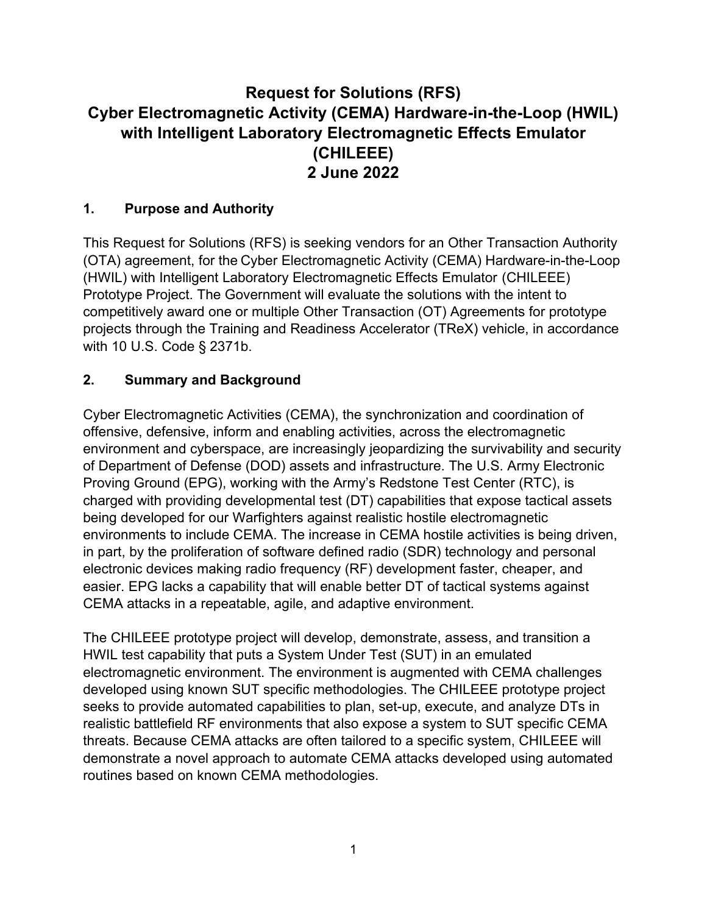# **Request for Solutions (RFS) Cyber Electromagnetic Activity (CEMA) Hardware-in-the-Loop (HWIL) with Intelligent Laboratory Electromagnetic Effects Emulator (CHILEEE) 2 June 2022**

#### **1. Purpose and Authority**

This Request for Solutions (RFS) is seeking vendors for an Other Transaction Authority (OTA) agreement, for the Cyber Electromagnetic Activity (CEMA) Hardware-in-the-Loop (HWIL) with Intelligent Laboratory Electromagnetic Effects Emulator (CHILEEE) Prototype Project. The Government will evaluate the solutions with the intent to competitively award one or multiple Other Transaction (OT) Agreements for prototype projects through the Training and Readiness Accelerator (TReX) vehicle, in accordance with 10 U.S. Code § 2371b.

### **2. Summary and Background**

Cyber Electromagnetic Activities (CEMA), the synchronization and coordination of offensive, defensive, inform and enabling activities, across the electromagnetic environment and cyberspace, are increasingly jeopardizing the survivability and security of Department of Defense (DOD) assets and infrastructure. The U.S. Army Electronic Proving Ground (EPG), working with the Army's Redstone Test Center (RTC), is charged with providing developmental test (DT) capabilities that expose tactical assets being developed for our Warfighters against realistic hostile electromagnetic environments to include CEMA. The increase in CEMA hostile activities is being driven, in part, by the proliferation of software defined radio (SDR) technology and personal electronic devices making radio frequency (RF) development faster, cheaper, and easier. EPG lacks a capability that will enable better DT of tactical systems against CEMA attacks in a repeatable, agile, and adaptive environment.

The CHILEEE prototype project will develop, demonstrate, assess, and transition a HWIL test capability that puts a System Under Test (SUT) in an emulated electromagnetic environment. The environment is augmented with CEMA challenges developed using known SUT specific methodologies. The CHILEEE prototype project seeks to provide automated capabilities to plan, set-up, execute, and analyze DTs in realistic battlefield RF environments that also expose a system to SUT specific CEMA threats. Because CEMA attacks are often tailored to a specific system, CHILEEE will demonstrate a novel approach to automate CEMA attacks developed using automated routines based on known CEMA methodologies.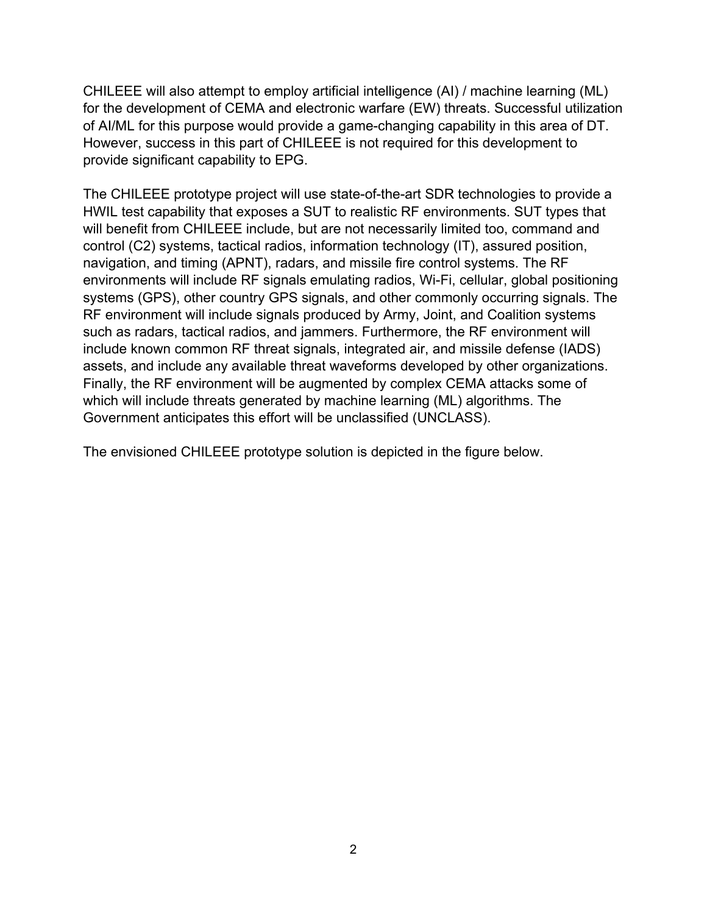CHILEEE will also attempt to employ artificial intelligence (AI) / machine learning (ML) for the development of CEMA and electronic warfare (EW) threats. Successful utilization of AI/ML for this purpose would provide a game-changing capability in this area of DT. However, success in this part of CHILEEE is not required for this development to provide significant capability to EPG.

The CHILEEE prototype project will use state-of-the-art SDR technologies to provide a HWIL test capability that exposes a SUT to realistic RF environments. SUT types that will benefit from CHILEEE include, but are not necessarily limited too, command and control (C2) systems, tactical radios, information technology (IT), assured position, navigation, and timing (APNT), radars, and missile fire control systems. The RF environments will include RF signals emulating radios, Wi-Fi, cellular, global positioning systems (GPS), other country GPS signals, and other commonly occurring signals. The RF environment will include signals produced by Army, Joint, and Coalition systems such as radars, tactical radios, and jammers. Furthermore, the RF environment will include known common RF threat signals, integrated air, and missile defense (IADS) assets, and include any available threat waveforms developed by other organizations. Finally, the RF environment will be augmented by complex CEMA attacks some of which will include threats generated by machine learning (ML) algorithms. The Government anticipates this effort will be unclassified (UNCLASS).

The envisioned CHILEEE prototype solution is depicted in the figure below.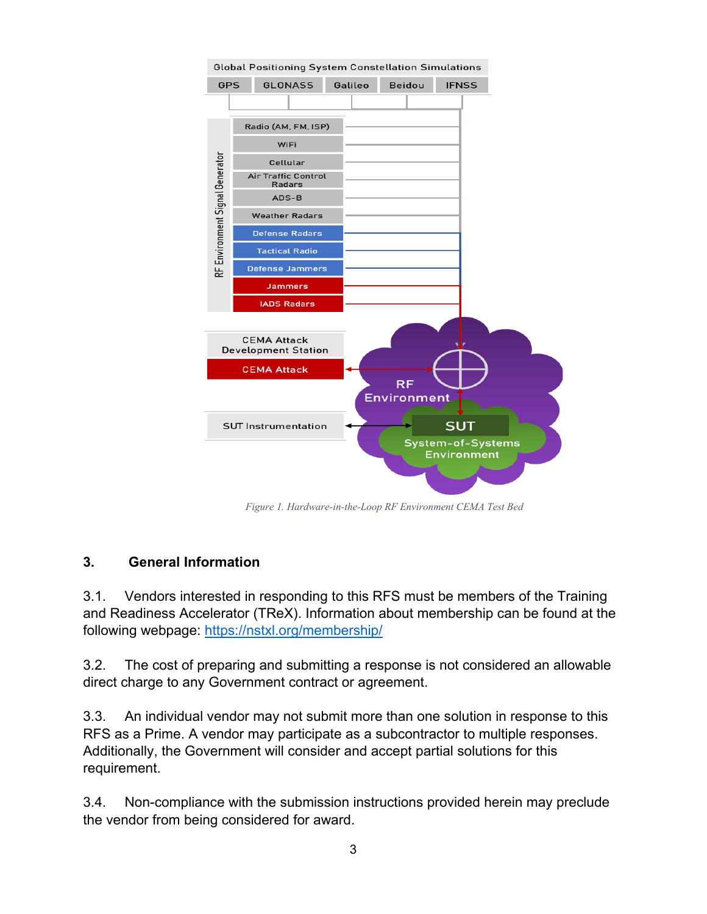

*Figure 1. Hardware-in-the-Loop RF Environment CEMA Test Bed*

#### **3. General Information**

3.1. Vendors interested in responding to this RFS must be members of the Training and Readiness Accelerator (TReX). Information about membership can be found at the following webpage:<https://nstxl.org/membership/>

3.2. The cost of preparing and submitting a response is not considered an allowable direct charge to any Government contract or agreement.

3.3. An individual vendor may not submit more than one solution in response to this RFS as a Prime. A vendor may participate as a subcontractor to multiple responses. Additionally, the Government will consider and accept partial solutions for this requirement.

3.4. Non-compliance with the submission instructions provided herein may preclude the vendor from being considered for award.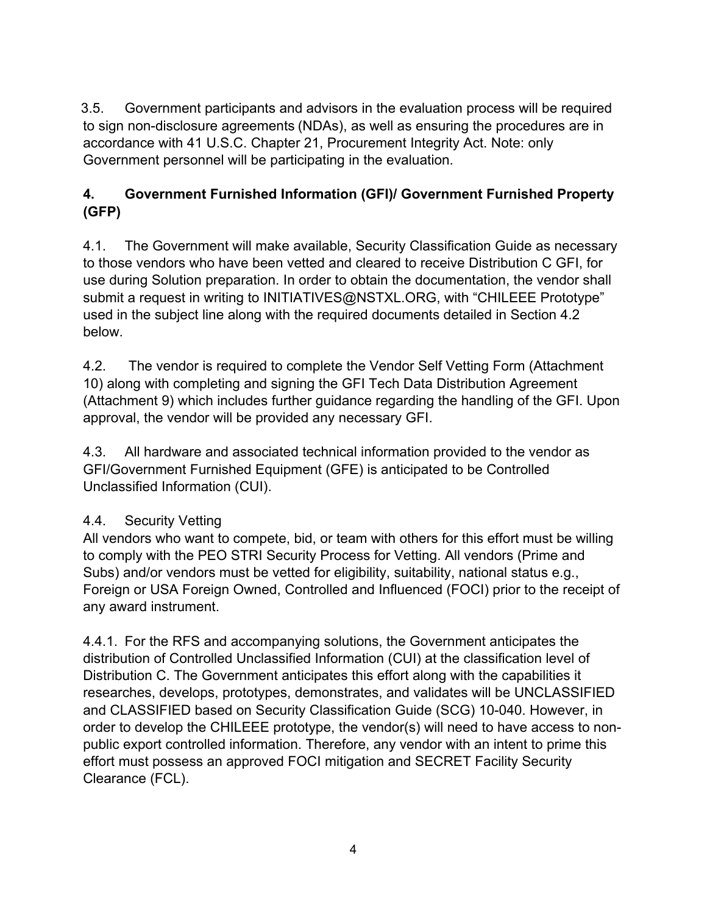3.5. Government participants and advisors in the evaluation process will be required to sign non-disclosure agreements (NDAs), as well as ensuring the procedures are in accordance with 41 U.S.C. Chapter 21, Procurement Integrity Act. Note: only Government personnel will be participating in the evaluation.

# **4. Government Furnished Information (GFI)/ Government Furnished Property (GFP)**

4.1. The Government will make available, Security Classification Guide as necessary to those vendors who have been vetted and cleared to receive Distribution C GFI, for use during Solution preparation. In order to obtain the documentation, the vendor shall submit a request in writing to INITIATIVES@NSTXL.ORG, with "CHILEEE Prototype" used in the subject line along with the required documents detailed in Section 4.2 below.

4.2. The vendor is required to complete the Vendor Self Vetting Form (Attachment 10) along with completing and signing the GFI Tech Data Distribution Agreement (Attachment 9) which includes further guidance regarding the handling of the GFI. Upon approval, the vendor will be provided any necessary GFI.

4.3. All hardware and associated technical information provided to the vendor as GFI/Government Furnished Equipment (GFE) is anticipated to be Controlled Unclassified Information (CUI).

# 4.4. Security Vetting

All vendors who want to compete, bid, or team with others for this effort must be willing to comply with the PEO STRI Security Process for Vetting. All vendors (Prime and Subs) and/or vendors must be vetted for eligibility, suitability, national status e.g., Foreign or USA Foreign Owned, Controlled and Influenced (FOCI) prior to the receipt of any award instrument.

4.4.1. For the RFS and accompanying solutions, the Government anticipates the distribution of Controlled Unclassified Information (CUI) at the classification level of Distribution C. The Government anticipates this effort along with the capabilities it researches, develops, prototypes, demonstrates, and validates will be UNCLASSIFIED and CLASSIFIED based on Security Classification Guide (SCG) 10-040. However, in order to develop the CHILEEE prototype, the vendor(s) will need to have access to nonpublic export controlled information. Therefore, any vendor with an intent to prime this effort must possess an approved FOCI mitigation and SECRET Facility Security Clearance (FCL).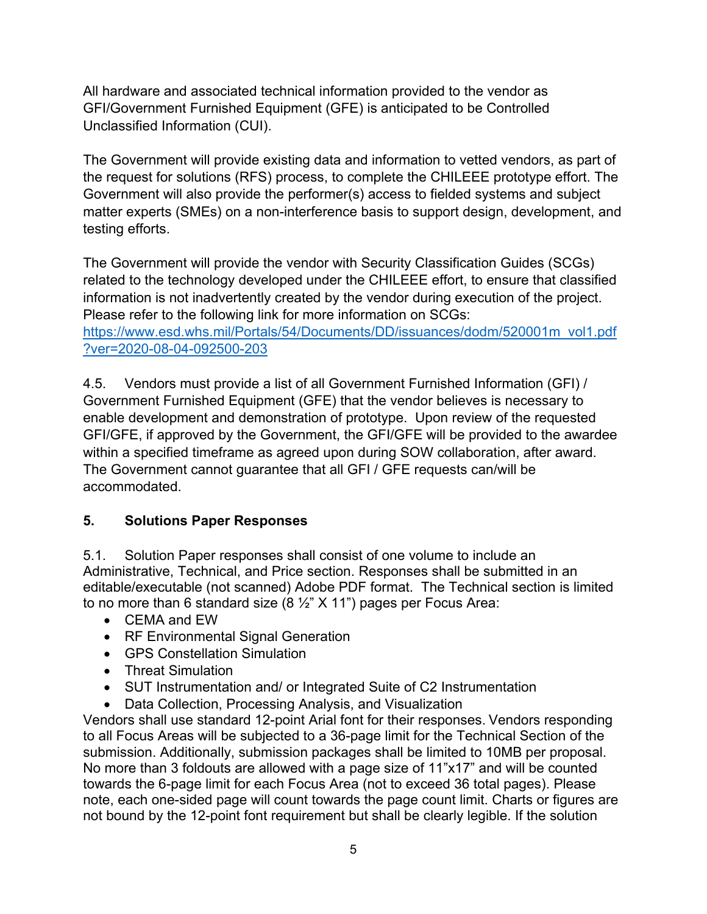All hardware and associated technical information provided to the vendor as GFI/Government Furnished Equipment (GFE) is anticipated to be Controlled Unclassified Information (CUI).

The Government will provide existing data and information to vetted vendors, as part of the request for solutions (RFS) process, to complete the CHILEEE prototype effort. The Government will also provide the performer(s) access to fielded systems and subject matter experts (SMEs) on a non-interference basis to support design, development, and testing efforts.

The Government will provide the vendor with Security Classification Guides (SCGs) related to the technology developed under the CHILEEE effort, to ensure that classified information is not inadvertently created by the vendor during execution of the project. Please refer to the following link for more information on SCGs:

[https://www.esd.whs.mil/Portals/54/Documents/DD/issuances/dodm/520001m\\_vol1.pdf](https://www.esd.whs.mil/Portals/54/Documents/DD/issuances/dodm/520001m_vol1.pdf?ver=2020-08-04-092500-203) [?ver=2020-08-04-092500-203](https://www.esd.whs.mil/Portals/54/Documents/DD/issuances/dodm/520001m_vol1.pdf?ver=2020-08-04-092500-203)

4.5. Vendors must provide a list of all Government Furnished Information (GFI) / Government Furnished Equipment (GFE) that the vendor believes is necessary to enable development and demonstration of prototype. Upon review of the requested GFI/GFE, if approved by the Government, the GFI/GFE will be provided to the awardee within a specified timeframe as agreed upon during SOW collaboration, after award. The Government cannot guarantee that all GFI / GFE requests can/will be accommodated.

# **5. Solutions Paper Responses**

5.1. Solution Paper responses shall consist of one volume to include an Administrative, Technical, and Price section. Responses shall be submitted in an editable/executable (not scanned) Adobe PDF format. The Technical section is limited to no more than 6 standard size  $(8 \frac{1}{2} \times 11)$  pages per Focus Area:

- CEMA and EW
- RF Environmental Signal Generation
- GPS Constellation Simulation
- Threat Simulation
- SUT Instrumentation and/ or Integrated Suite of C2 Instrumentation
- Data Collection, Processing Analysis, and Visualization

Vendors shall use standard 12-point Arial font for their responses. Vendors responding to all Focus Areas will be subjected to a 36-page limit for the Technical Section of the submission. Additionally, submission packages shall be limited to 10MB per proposal. No more than 3 foldouts are allowed with a page size of 11"x17" and will be counted towards the 6-page limit for each Focus Area (not to exceed 36 total pages). Please note, each one-sided page will count towards the page count limit. Charts or figures are not bound by the 12-point font requirement but shall be clearly legible. If the solution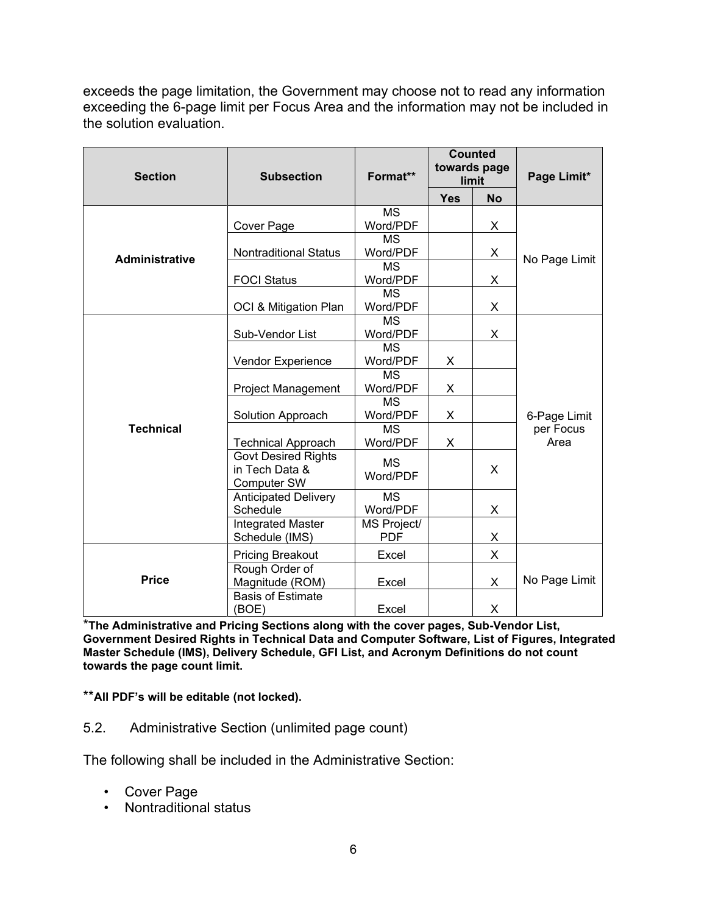exceeds the page limitation, the Government may choose not to read any information exceeding the 6-page limit per Focus Area and the information may not be included in the solution evaluation.

| <b>Section</b>        | <b>Subsection</b>                                                  | Format**                         | <b>Counted</b><br>towards page<br>limit |           | Page Limit*                       |
|-----------------------|--------------------------------------------------------------------|----------------------------------|-----------------------------------------|-----------|-----------------------------------|
|                       |                                                                    |                                  | <b>Yes</b>                              | <b>No</b> |                                   |
| <b>Administrative</b> | Cover Page                                                         | <b>MS</b><br>Word/PDF            |                                         | X.        | No Page Limit                     |
|                       | <b>Nontraditional Status</b>                                       | <b>MS</b><br>Word/PDF            |                                         | X         |                                   |
|                       | <b>FOCI Status</b>                                                 | <b>MS</b><br>Word/PDF            |                                         | X.        |                                   |
|                       | OCI & Mitigation Plan                                              | <b>MS</b><br>Word/PDF            |                                         | X.        |                                   |
| <b>Technical</b>      | Sub-Vendor List                                                    | <b>MS</b><br>Word/PDF            |                                         | X         | 6-Page Limit<br>per Focus<br>Area |
|                       | Vendor Experience                                                  | <b>MS</b><br>Word/PDF            | X                                       |           |                                   |
|                       | Project Management                                                 | <b>MS</b><br>Word/PDF            | X                                       |           |                                   |
|                       | Solution Approach                                                  | <b>MS</b><br>Word/PDF            | X                                       |           |                                   |
|                       | <b>Technical Approach</b>                                          | <b>MS</b><br>Word/PDF            | X                                       |           |                                   |
|                       | <b>Govt Desired Rights</b><br>in Tech Data &<br><b>Computer SW</b> | <b>MS</b><br>Word/PDF            |                                         | X         |                                   |
|                       | <b>Anticipated Delivery</b><br>Schedule                            | <b>MS</b><br>Word/PDF            |                                         | X         |                                   |
|                       | <b>Integrated Master</b><br>Schedule (IMS)                         | <b>MS Project/</b><br><b>PDF</b> |                                         | X         |                                   |
| <b>Price</b>          | <b>Pricing Breakout</b>                                            | Excel                            |                                         | X         | No Page Limit                     |
|                       | Rough Order of<br>Magnitude (ROM)                                  | Excel                            |                                         | X         |                                   |
|                       | <b>Basis of Estimate</b><br>(BOE)                                  | Excel                            |                                         | X         |                                   |

\***The Administrative and Pricing Sections along with the cover pages, Sub-Vendor List, Government Desired Rights in Technical Data and Computer Software, List of Figures, Integrated Master Schedule (IMS), Delivery Schedule, GFI List, and Acronym Definitions do not count towards the page count limit.**

\*\***All PDF's will be editable (not locked).**

5.2. Administrative Section (unlimited page count)

The following shall be included in the Administrative Section:

- Cover Page
- Nontraditional status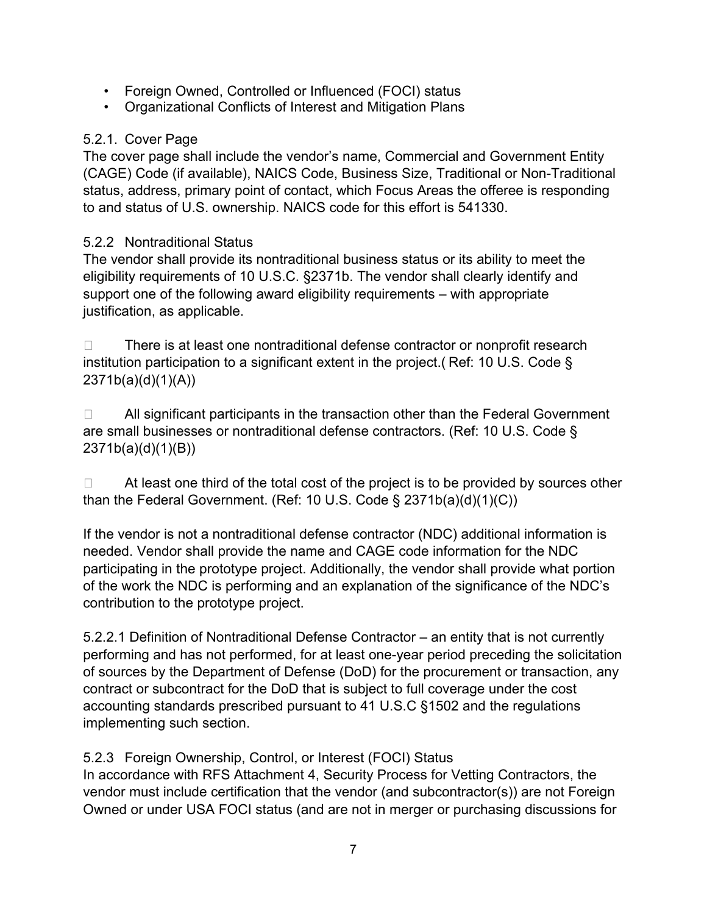- Foreign Owned, Controlled or Influenced (FOCI) status
- Organizational Conflicts of Interest and Mitigation Plans

#### 5.2.1. Cover Page

The cover page shall include the vendor's name, Commercial and Government Entity (CAGE) Code (if available), NAICS Code, Business Size, Traditional or Non-Traditional status, address, primary point of contact, which Focus Areas the offeree is responding to and status of U.S. ownership. NAICS code for this effort is 541330.

### 5.2.2 Nontraditional Status

The vendor shall provide its nontraditional business status or its ability to meet the eligibility requirements of 10 U.S.C. §2371b. The vendor shall clearly identify and support one of the following award eligibility requirements – with appropriate justification, as applicable.

 $\Box$  There is at least one nontraditional defense contractor or nonprofit research institution participation to a significant extent in the project.( Ref: 10 U.S. Code § 2371b(a)(d)(1)(A))

 $\Box$  All significant participants in the transaction other than the Federal Government are small businesses or nontraditional defense contractors. (Ref: 10 U.S. Code § 2371b(a)(d)(1)(B))

 $\Box$  At least one third of the total cost of the project is to be provided by sources other than the Federal Government. (Ref: 10 U.S. Code § 2371b(a)(d)(1)(C))

If the vendor is not a nontraditional defense contractor (NDC) additional information is needed. Vendor shall provide the name and CAGE code information for the NDC participating in the prototype project. Additionally, the vendor shall provide what portion of the work the NDC is performing and an explanation of the significance of the NDC's contribution to the prototype project.

5.2.2.1 Definition of Nontraditional Defense Contractor – an entity that is not currently performing and has not performed, for at least one-year period preceding the solicitation of sources by the Department of Defense (DoD) for the procurement or transaction, any contract or subcontract for the DoD that is subject to full coverage under the cost accounting standards prescribed pursuant to 41 U.S.C §1502 and the regulations implementing such section.

5.2.3 Foreign Ownership, Control, or Interest (FOCI) Status

In accordance with RFS Attachment 4, Security Process for Vetting Contractors, the vendor must include certification that the vendor (and subcontractor(s)) are not Foreign Owned or under USA FOCI status (and are not in merger or purchasing discussions for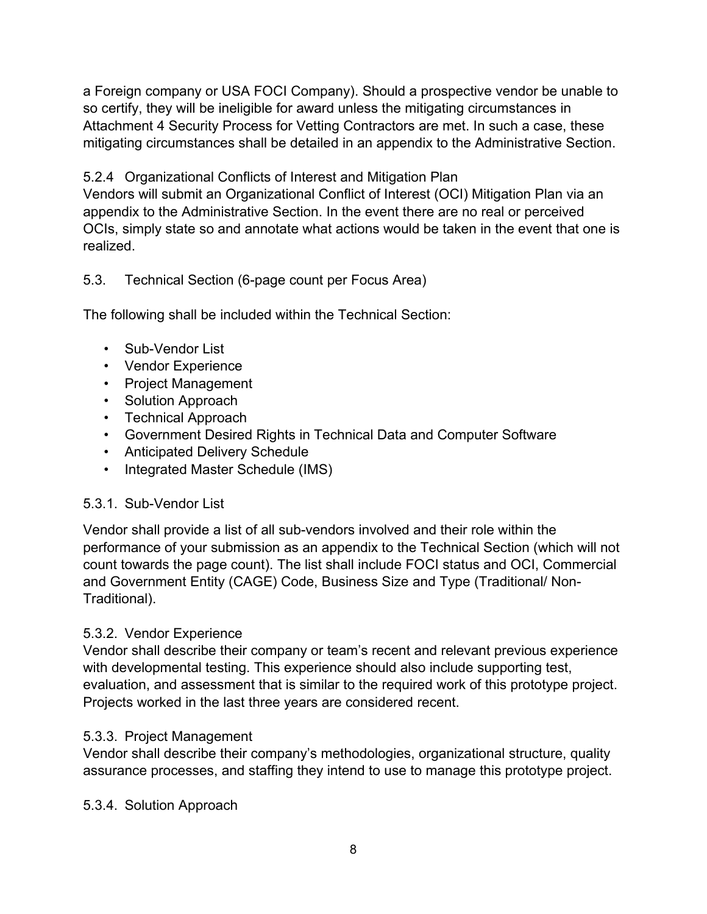a Foreign company or USA FOCI Company). Should a prospective vendor be unable to so certify, they will be ineligible for award unless the mitigating circumstances in Attachment 4 Security Process for Vetting Contractors are met. In such a case, these mitigating circumstances shall be detailed in an appendix to the Administrative Section.

5.2.4 Organizational Conflicts of Interest and Mitigation Plan

Vendors will submit an Organizational Conflict of Interest (OCI) Mitigation Plan via an appendix to the Administrative Section. In the event there are no real or perceived OCIs, simply state so and annotate what actions would be taken in the event that one is realized.

### 5.3. Technical Section (6-page count per Focus Area)

The following shall be included within the Technical Section:

- Sub-Vendor List
- Vendor Experience
- Project Management
- Solution Approach
- Technical Approach
- Government Desired Rights in Technical Data and Computer Software
- Anticipated Delivery Schedule
- Integrated Master Schedule (IMS)

#### 5.3.1. Sub-Vendor List

Vendor shall provide a list of all sub-vendors involved and their role within the performance of your submission as an appendix to the Technical Section (which will not count towards the page count). The list shall include FOCI status and OCI, Commercial and Government Entity (CAGE) Code, Business Size and Type (Traditional/ Non-Traditional).

# 5.3.2. Vendor Experience

Vendor shall describe their company or team's recent and relevant previous experience with developmental testing. This experience should also include supporting test, evaluation, and assessment that is similar to the required work of this prototype project. Projects worked in the last three years are considered recent.

#### 5.3.3. Project Management

Vendor shall describe their company's methodologies, organizational structure, quality assurance processes, and staffing they intend to use to manage this prototype project.

#### 5.3.4. Solution Approach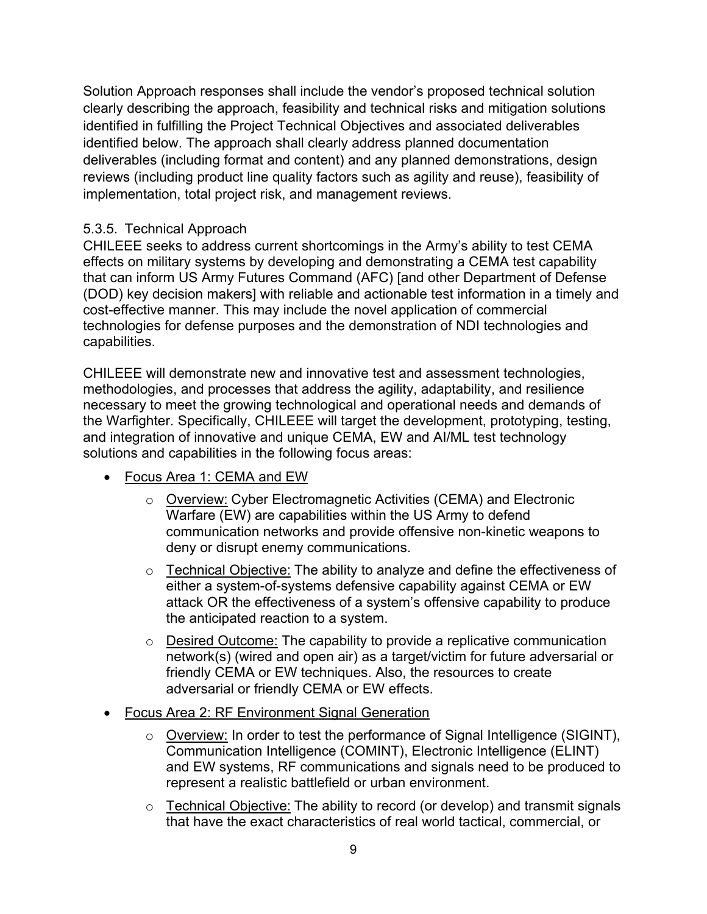Solution Approach responses shall include the vendor's proposed technical solution clearly describing the approach, feasibility and technical risks and mitigation solutions identified in fulfilling the Project Technical Objectives and associated deliverables identified below. The approach shall clearly address planned documentation deliverables (including format and content) and any planned demonstrations, design reviews (including product line quality factors such as agility and reuse), feasibility of implementation, total project risk, and management reviews.

#### 5.3.5. Technical Approach

CHILEEE seeks to address current shortcomings in the Army's ability to test CEMA effects on military systems by developing and demonstrating a CEMA test capability that can inform US Army Futures Command (AFC) [and other Department of Defense (DOD) key decision makers] with reliable and actionable test information in a timely and cost-effective manner. This may include the novel application of commercial technologies for defense purposes and the demonstration of NDI technologies and capabilities.

CHILEEE will demonstrate new and innovative test and assessment technologies, methodologies, and processes that address the agility, adaptability, and resilience necessary to meet the growing technological and operational needs and demands of the Warfighter. Specifically, CHILEEE will target the development, prototyping, testing, and integration of innovative and unique CEMA, EW and AI/ML test technology solutions and capabilities in the following focus areas:

- Focus Area 1: CEMA and EW
	- o Overview: Cyber Electromagnetic Activities (CEMA) and Electronic Warfare (EW) are capabilities within the US Army to defend communication networks and provide offensive non-kinetic weapons to deny or disrupt enemy communications.
	- o Technical Objective: The ability to analyze and define the effectiveness of either a system-of-systems defensive capability against CEMA or EW attack OR the effectiveness of a system's offensive capability to produce the anticipated reaction to a system.
	- o Desired Outcome: The capability to provide a replicative communication network(s) (wired and open air) as a target/victim for future adversarial or friendly CEMA or EW techniques. Also, the resources to create adversarial or friendly CEMA or EW effects.
- Focus Area 2: RF Environment Signal Generation
	- o Overview: In order to test the performance of Signal Intelligence (SIGINT), Communication Intelligence (COMINT), Electronic Intelligence (ELINT) and EW systems, RF communications and signals need to be produced to represent a realistic battlefield or urban environment.
	- o Technical Objective: The ability to record (or develop) and transmit signals that have the exact characteristics of real world tactical, commercial, or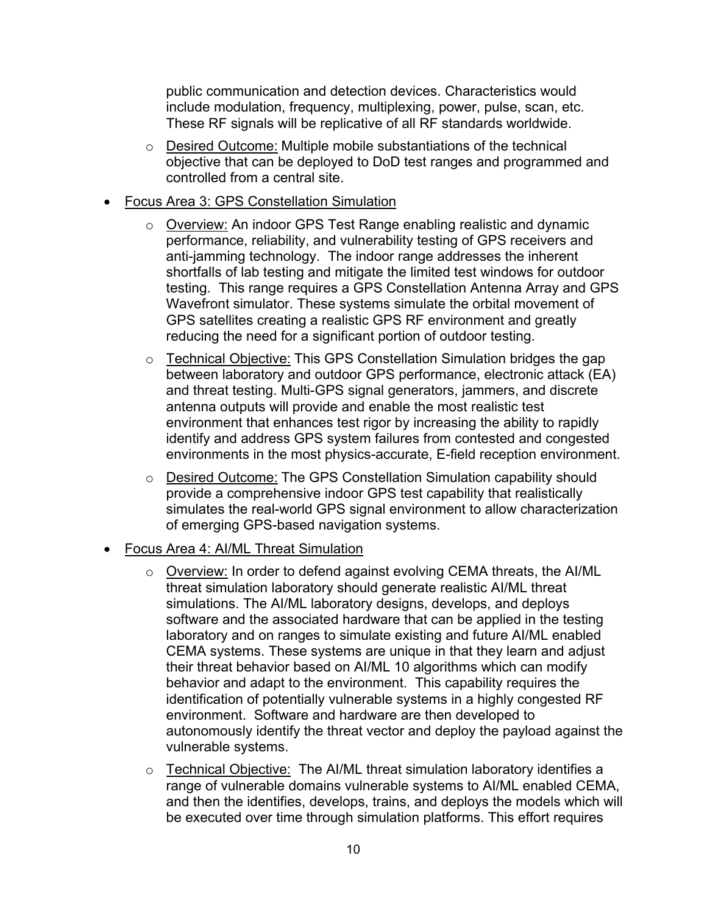public communication and detection devices. Characteristics would include modulation, frequency, multiplexing, power, pulse, scan, etc. These RF signals will be replicative of all RF standards worldwide.

- o Desired Outcome: Multiple mobile substantiations of the technical objective that can be deployed to DoD test ranges and programmed and controlled from a central site.
- Focus Area 3: GPS Constellation Simulation
	- o Overview: An indoor GPS Test Range enabling realistic and dynamic performance, reliability, and vulnerability testing of GPS receivers and anti-jamming technology. The indoor range addresses the inherent shortfalls of lab testing and mitigate the limited test windows for outdoor testing. This range requires a GPS Constellation Antenna Array and GPS Wavefront simulator. These systems simulate the orbital movement of GPS satellites creating a realistic GPS RF environment and greatly reducing the need for a significant portion of outdoor testing.
	- o Technical Objective: This GPS Constellation Simulation bridges the gap between laboratory and outdoor GPS performance, electronic attack (EA) and threat testing. Multi-GPS signal generators, jammers, and discrete antenna outputs will provide and enable the most realistic test environment that enhances test rigor by increasing the ability to rapidly identify and address GPS system failures from contested and congested environments in the most physics-accurate, E-field reception environment.
	- o Desired Outcome: The GPS Constellation Simulation capability should provide a comprehensive indoor GPS test capability that realistically simulates the real-world GPS signal environment to allow characterization of emerging GPS-based navigation systems.
- Focus Area 4: AI/ML Threat Simulation
	- o Overview: In order to defend against evolving CEMA threats, the AI/ML threat simulation laboratory should generate realistic AI/ML threat simulations. The AI/ML laboratory designs, develops, and deploys software and the associated hardware that can be applied in the testing laboratory and on ranges to simulate existing and future AI/ML enabled CEMA systems. These systems are unique in that they learn and adjust their threat behavior based on AI/ML 10 algorithms which can modify behavior and adapt to the environment. This capability requires the identification of potentially vulnerable systems in a highly congested RF environment. Software and hardware are then developed to autonomously identify the threat vector and deploy the payload against the vulnerable systems.
	- o Technical Objective: The AI/ML threat simulation laboratory identifies a range of vulnerable domains vulnerable systems to AI/ML enabled CEMA, and then the identifies, develops, trains, and deploys the models which will be executed over time through simulation platforms. This effort requires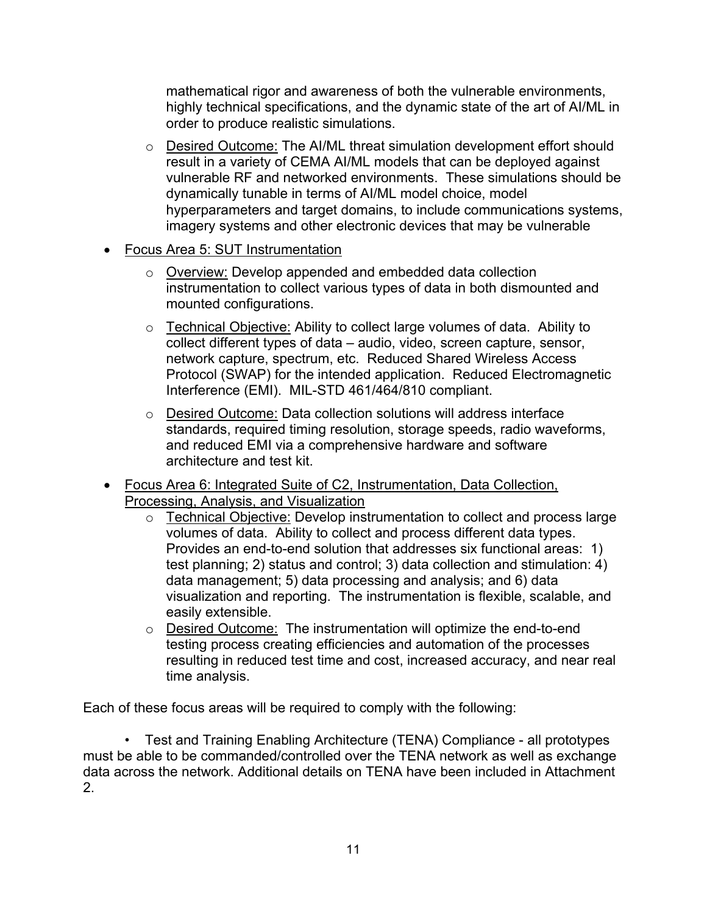mathematical rigor and awareness of both the vulnerable environments, highly technical specifications, and the dynamic state of the art of AI/ML in order to produce realistic simulations.

- o Desired Outcome: The AI/ML threat simulation development effort should result in a variety of CEMA AI/ML models that can be deployed against vulnerable RF and networked environments. These simulations should be dynamically tunable in terms of AI/ML model choice, model hyperparameters and target domains, to include communications systems, imagery systems and other electronic devices that may be vulnerable
- Focus Area 5: SUT Instrumentation
	- o Overview: Develop appended and embedded data collection instrumentation to collect various types of data in both dismounted and mounted configurations.
	- o Technical Objective: Ability to collect large volumes of data. Ability to collect different types of data – audio, video, screen capture, sensor, network capture, spectrum, etc. Reduced Shared Wireless Access Protocol (SWAP) for the intended application. Reduced Electromagnetic Interference (EMI). MIL-STD 461/464/810 compliant.
	- o Desired Outcome: Data collection solutions will address interface standards, required timing resolution, storage speeds, radio waveforms, and reduced EMI via a comprehensive hardware and software architecture and test kit.
- Focus Area 6: Integrated Suite of C2, Instrumentation, Data Collection, Processing, Analysis, and Visualization
	- o Technical Objective: Develop instrumentation to collect and process large volumes of data. Ability to collect and process different data types. Provides an end-to-end solution that addresses six functional areas: 1) test planning; 2) status and control; 3) data collection and stimulation: 4) data management; 5) data processing and analysis; and 6) data visualization and reporting. The instrumentation is flexible, scalable, and easily extensible.
	- o Desired Outcome: The instrumentation will optimize the end-to-end testing process creating efficiencies and automation of the processes resulting in reduced test time and cost, increased accuracy, and near real time analysis.

Each of these focus areas will be required to comply with the following:

• Test and Training Enabling Architecture (TENA) Compliance - all prototypes must be able to be commanded/controlled over the TENA network as well as exchange data across the network. Additional details on TENA have been included in Attachment 2.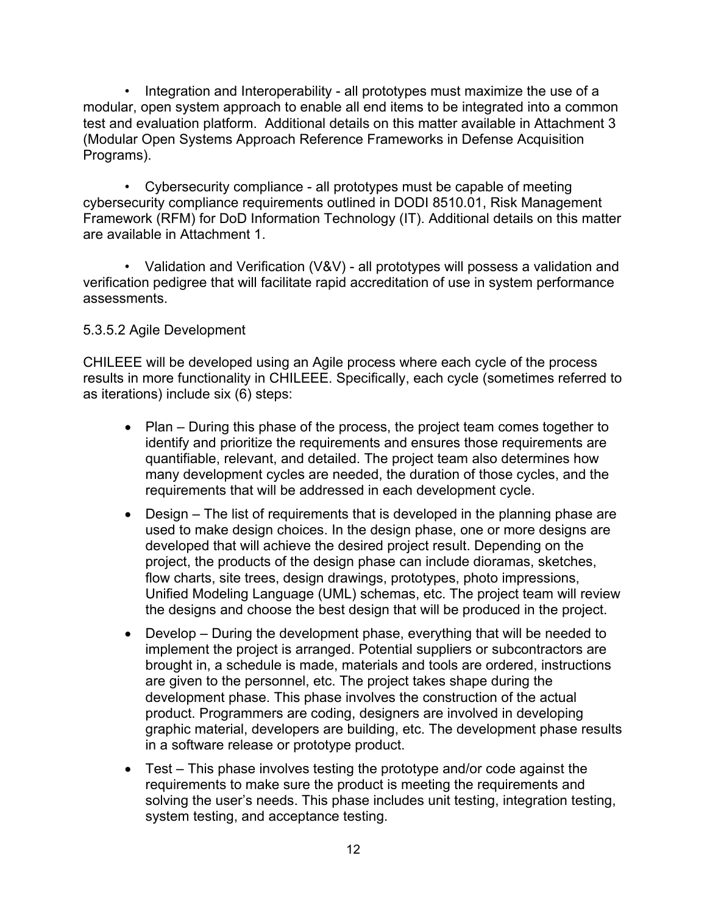• Integration and Interoperability - all prototypes must maximize the use of a modular, open system approach to enable all end items to be integrated into a common test and evaluation platform. Additional details on this matter available in Attachment 3 (Modular Open Systems Approach Reference Frameworks in Defense Acquisition Programs).

• Cybersecurity compliance - all prototypes must be capable of meeting cybersecurity compliance requirements outlined in DODI 8510.01, Risk Management Framework (RFM) for DoD Information Technology (IT). Additional details on this matter are available in Attachment 1.

• Validation and Verification (V&V) - all prototypes will possess a validation and verification pedigree that will facilitate rapid accreditation of use in system performance assessments.

#### 5.3.5.2 Agile Development

CHILEEE will be developed using an Agile process where each cycle of the process results in more functionality in CHILEEE. Specifically, each cycle (sometimes referred to as iterations) include six (6) steps:

- Plan During this phase of the process, the project team comes together to identify and prioritize the requirements and ensures those requirements are quantifiable, relevant, and detailed. The project team also determines how many development cycles are needed, the duration of those cycles, and the requirements that will be addressed in each development cycle.
- Design The list of requirements that is developed in the planning phase are used to make design choices. In the design phase, one or more designs are developed that will achieve the desired project result. Depending on the project, the products of the design phase can include dioramas, sketches, flow charts, site trees, design drawings, prototypes, photo impressions, Unified Modeling Language (UML) schemas, etc. The project team will review the designs and choose the best design that will be produced in the project.
- Develop During the development phase, everything that will be needed to implement the project is arranged. Potential suppliers or subcontractors are brought in, a schedule is made, materials and tools are ordered, instructions are given to the personnel, etc. The project takes shape during the development phase. This phase involves the construction of the actual product. Programmers are coding, designers are involved in developing graphic material, developers are building, etc. The development phase results in a software release or prototype product.
- Test This phase involves testing the prototype and/or code against the requirements to make sure the product is meeting the requirements and solving the user's needs. This phase includes unit testing, integration testing, system testing, and acceptance testing.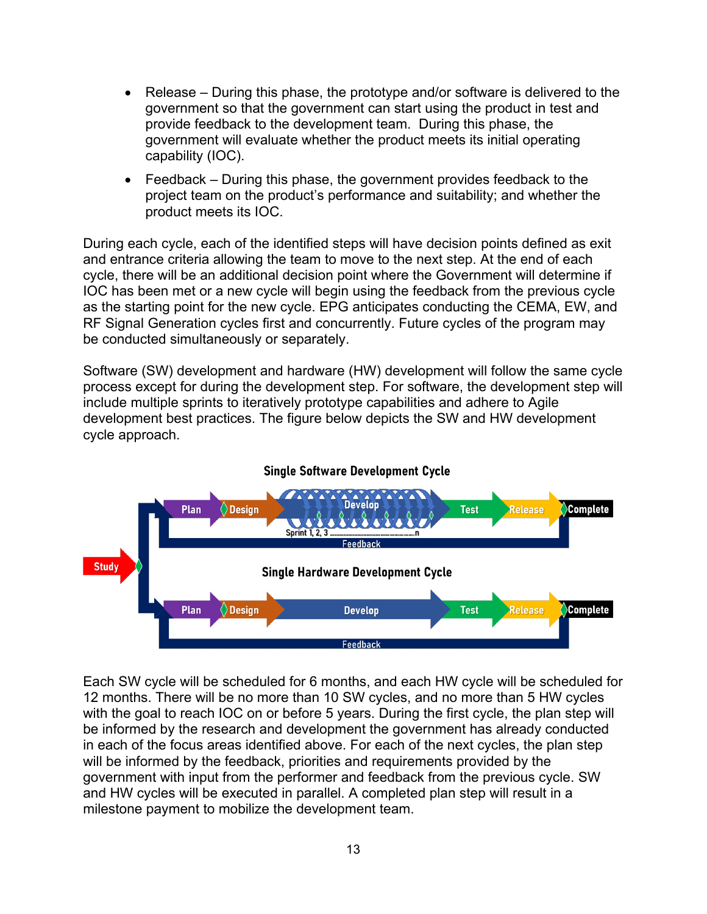- Release During this phase, the prototype and/or software is delivered to the government so that the government can start using the product in test and provide feedback to the development team. During this phase, the government will evaluate whether the product meets its initial operating capability (IOC).
- Feedback During this phase, the government provides feedback to the project team on the product's performance and suitability; and whether the product meets its IOC.

During each cycle, each of the identified steps will have decision points defined as exit and entrance criteria allowing the team to move to the next step. At the end of each cycle, there will be an additional decision point where the Government will determine if IOC has been met or a new cycle will begin using the feedback from the previous cycle as the starting point for the new cycle. EPG anticipates conducting the CEMA, EW, and RF Signal Generation cycles first and concurrently. Future cycles of the program may be conducted simultaneously or separately.

Software (SW) development and hardware (HW) development will follow the same cycle process except for during the development step. For software, the development step will include multiple sprints to iteratively prototype capabilities and adhere to Agile development best practices. The figure below depicts the SW and HW development cycle approach.



**Single Software Development Cycle** 

Each SW cycle will be scheduled for 6 months, and each HW cycle will be scheduled for 12 months. There will be no more than 10 SW cycles, and no more than 5 HW cycles with the goal to reach IOC on or before 5 years. During the first cycle, the plan step will be informed by the research and development the government has already conducted in each of the focus areas identified above. For each of the next cycles, the plan step will be informed by the feedback, priorities and requirements provided by the government with input from the performer and feedback from the previous cycle. SW and HW cycles will be executed in parallel. A completed plan step will result in a milestone payment to mobilize the development team.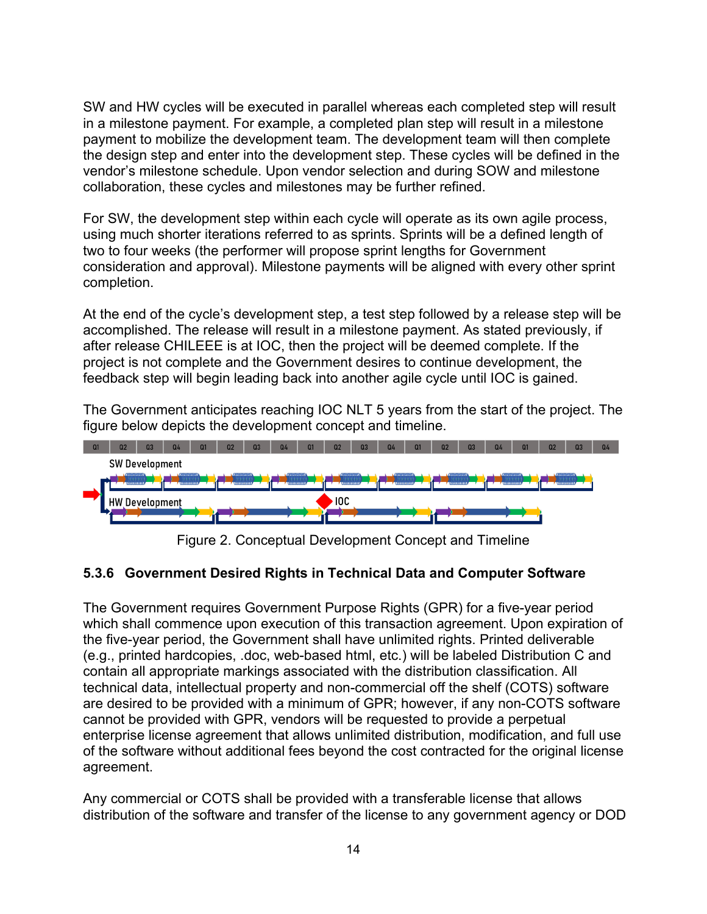SW and HW cycles will be executed in parallel whereas each completed step will result in a milestone payment. For example, a completed plan step will result in a milestone payment to mobilize the development team. The development team will then complete the design step and enter into the development step. These cycles will be defined in the vendor's milestone schedule. Upon vendor selection and during SOW and milestone collaboration, these cycles and milestones may be further refined.

For SW, the development step within each cycle will operate as its own agile process, using much shorter iterations referred to as sprints. Sprints will be a defined length of two to four weeks (the performer will propose sprint lengths for Government consideration and approval). Milestone payments will be aligned with every other sprint completion.

At the end of the cycle's development step, a test step followed by a release step will be accomplished. The release will result in a milestone payment. As stated previously, if after release CHILEEE is at IOC, then the project will be deemed complete. If the project is not complete and the Government desires to continue development, the feedback step will begin leading back into another agile cycle until IOC is gained.

The Government anticipates reaching IOC NLT 5 years from the start of the project. The figure below depicts the development concept and timeline.



Figure 2. Conceptual Development Concept and Timeline

#### **5.3.6 Government Desired Rights in Technical Data and Computer Software**

The Government requires Government Purpose Rights (GPR) for a five-year period which shall commence upon execution of this transaction agreement. Upon expiration of the five-year period, the Government shall have unlimited rights. Printed deliverable (e.g., printed hardcopies, .doc, web-based html, etc.) will be labeled Distribution C and contain all appropriate markings associated with the distribution classification. All technical data, intellectual property and non-commercial off the shelf (COTS) software are desired to be provided with a minimum of GPR; however, if any non-COTS software cannot be provided with GPR, vendors will be requested to provide a perpetual enterprise license agreement that allows unlimited distribution, modification, and full use of the software without additional fees beyond the cost contracted for the original license agreement.

Any commercial or COTS shall be provided with a transferable license that allows distribution of the software and transfer of the license to any government agency or DOD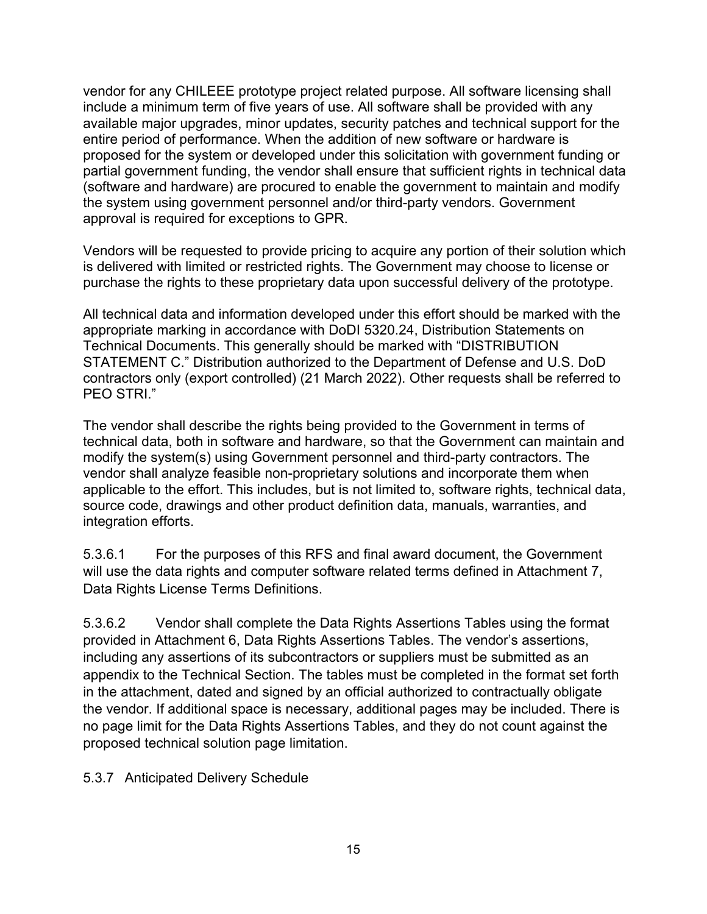vendor for any CHILEEE prototype project related purpose. All software licensing shall include a minimum term of five years of use. All software shall be provided with any available major upgrades, minor updates, security patches and technical support for the entire period of performance. When the addition of new software or hardware is proposed for the system or developed under this solicitation with government funding or partial government funding, the vendor shall ensure that sufficient rights in technical data (software and hardware) are procured to enable the government to maintain and modify the system using government personnel and/or third-party vendors. Government approval is required for exceptions to GPR.

Vendors will be requested to provide pricing to acquire any portion of their solution which is delivered with limited or restricted rights. The Government may choose to license or purchase the rights to these proprietary data upon successful delivery of the prototype.

All technical data and information developed under this effort should be marked with the appropriate marking in accordance with DoDI 5320.24, Distribution Statements on Technical Documents. This generally should be marked with "DISTRIBUTION STATEMENT C." Distribution authorized to the Department of Defense and U.S. DoD contractors only (export controlled) (21 March 2022). Other requests shall be referred to PEO STRI."

The vendor shall describe the rights being provided to the Government in terms of technical data, both in software and hardware, so that the Government can maintain and modify the system(s) using Government personnel and third-party contractors. The vendor shall analyze feasible non-proprietary solutions and incorporate them when applicable to the effort. This includes, but is not limited to, software rights, technical data, source code, drawings and other product definition data, manuals, warranties, and integration efforts.

5.3.6.1 For the purposes of this RFS and final award document, the Government will use the data rights and computer software related terms defined in Attachment 7, Data Rights License Terms Definitions.

5.3.6.2 Vendor shall complete the Data Rights Assertions Tables using the format provided in Attachment 6, Data Rights Assertions Tables. The vendor's assertions, including any assertions of its subcontractors or suppliers must be submitted as an appendix to the Technical Section. The tables must be completed in the format set forth in the attachment, dated and signed by an official authorized to contractually obligate the vendor. If additional space is necessary, additional pages may be included. There is no page limit for the Data Rights Assertions Tables, and they do not count against the proposed technical solution page limitation.

5.3.7 Anticipated Delivery Schedule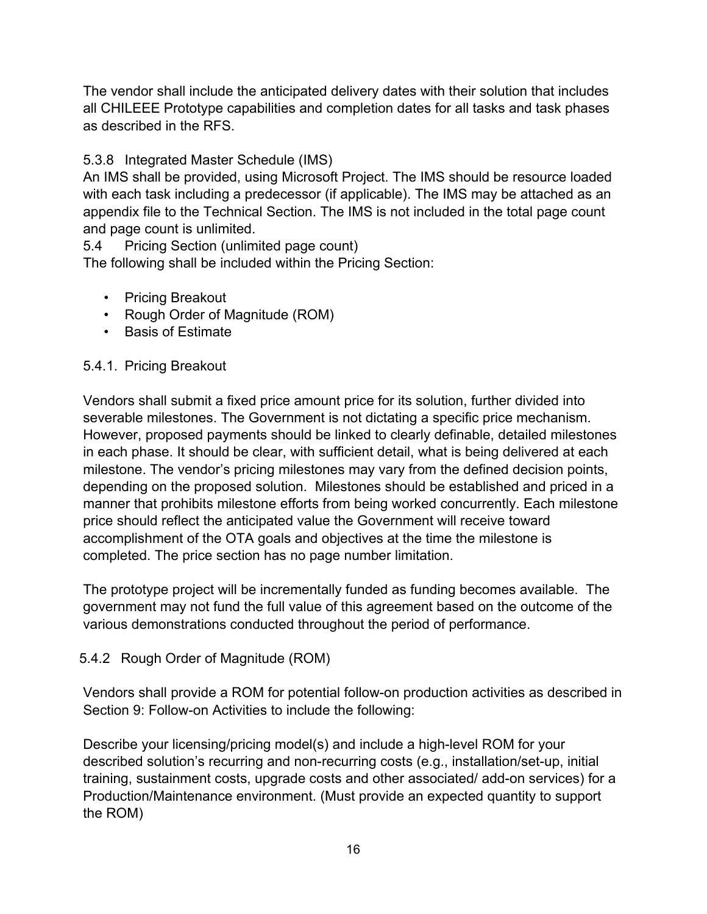The vendor shall include the anticipated delivery dates with their solution that includes all CHILEEE Prototype capabilities and completion dates for all tasks and task phases as described in the RFS.

### 5.3.8 Integrated Master Schedule (IMS)

An IMS shall be provided, using Microsoft Project. The IMS should be resource loaded with each task including a predecessor (if applicable). The IMS may be attached as an appendix file to the Technical Section. The IMS is not included in the total page count and page count is unlimited.

5.4 Pricing Section (unlimited page count)

The following shall be included within the Pricing Section:

- Pricing Breakout
- Rough Order of Magnitude (ROM)
- Basis of Estimate

#### 5.4.1. Pricing Breakout

Vendors shall submit a fixed price amount price for its solution, further divided into severable milestones. The Government is not dictating a specific price mechanism. However, proposed payments should be linked to clearly definable, detailed milestones in each phase. It should be clear, with sufficient detail, what is being delivered at each milestone. The vendor's pricing milestones may vary from the defined decision points, depending on the proposed solution. Milestones should be established and priced in a manner that prohibits milestone efforts from being worked concurrently. Each milestone price should reflect the anticipated value the Government will receive toward accomplishment of the OTA goals and objectives at the time the milestone is completed. The price section has no page number limitation.

The prototype project will be incrementally funded as funding becomes available. The government may not fund the full value of this agreement based on the outcome of the various demonstrations conducted throughout the period of performance.

#### 5.4.2 Rough Order of Magnitude (ROM)

Vendors shall provide a ROM for potential follow-on production activities as described in Section 9: Follow-on Activities to include the following:

Describe your licensing/pricing model(s) and include a high-level ROM for your described solution's recurring and non-recurring costs (e.g., installation/set-up, initial training, sustainment costs, upgrade costs and other associated/ add-on services) for a Production/Maintenance environment. (Must provide an expected quantity to support the ROM)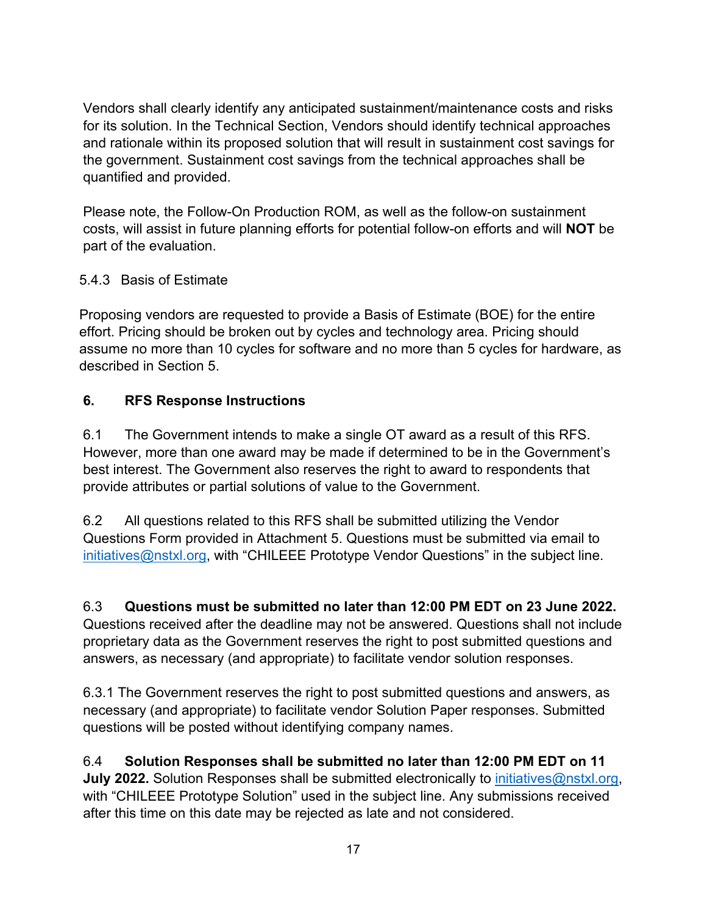Vendors shall clearly identify any anticipated sustainment/maintenance costs and risks for its solution. In the Technical Section, Vendors should identify technical approaches and rationale within its proposed solution that will result in sustainment cost savings for the government. Sustainment cost savings from the technical approaches shall be quantified and provided.

Please note, the Follow-On Production ROM, as well as the follow-on sustainment costs, will assist in future planning efforts for potential follow-on efforts and will **NOT** be part of the evaluation.

# 5.4.3 Basis of Estimate

Proposing vendors are requested to provide a Basis of Estimate (BOE) for the entire effort. Pricing should be broken out by cycles and technology area. Pricing should assume no more than 10 cycles for software and no more than 5 cycles for hardware, as described in Section 5.

### **6. RFS Response Instructions**

6.1 The Government intends to make a single OT award as a result of this RFS. However, more than one award may be made if determined to be in the Government's best interest. The Government also reserves the right to award to respondents that provide attributes or partial solutions of value to the Government.

6.2 All questions related to this RFS shall be submitted utilizing the Vendor Questions Form provided in Attachment 5. Questions must be submitted via email to [initiatives@nstxl.org,](mailto:initiatives@nstxl.org) with "CHILEEE Prototype Vendor Questions" in the subject line.

6.3 **Questions must be submitted no later than 12:00 PM EDT on 23 June 2022.** Questions received after the deadline may not be answered. Questions shall not include proprietary data as the Government reserves the right to post submitted questions and answers, as necessary (and appropriate) to facilitate vendor solution responses.

6.3.1 The Government reserves the right to post submitted questions and answers, as necessary (and appropriate) to facilitate vendor Solution Paper responses. Submitted questions will be posted without identifying company names.

6.4 **Solution Responses shall be submitted no later than 12:00 PM EDT on 11 July 2022.** Solution Responses shall be submitted electronically to [initiatives@nstxl.org,](mailto:initiatives@nstxl.org) with "CHILEEE Prototype Solution" used in the subject line. Any submissions received after this time on this date may be rejected as late and not considered.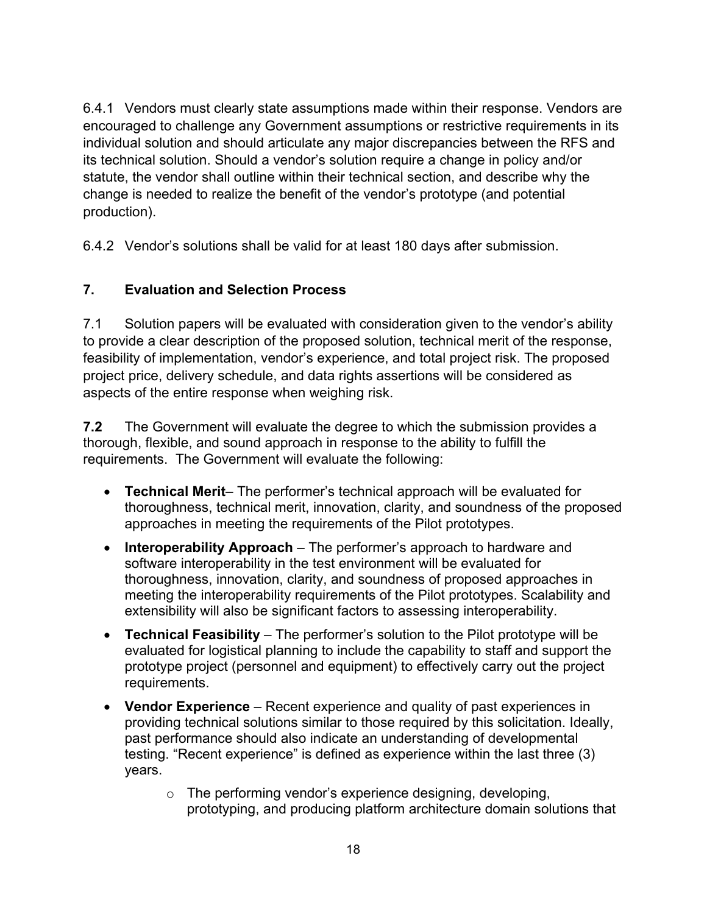6.4.1 Vendors must clearly state assumptions made within their response. Vendors are encouraged to challenge any Government assumptions or restrictive requirements in its individual solution and should articulate any major discrepancies between the RFS and its technical solution. Should a vendor's solution require a change in policy and/or statute, the vendor shall outline within their technical section, and describe why the change is needed to realize the benefit of the vendor's prototype (and potential production).

6.4.2 Vendor's solutions shall be valid for at least 180 days after submission.

# **7. Evaluation and Selection Process**

7.1 Solution papers will be evaluated with consideration given to the vendor's ability to provide a clear description of the proposed solution, technical merit of the response, feasibility of implementation, vendor's experience, and total project risk. The proposed project price, delivery schedule, and data rights assertions will be considered as aspects of the entire response when weighing risk.

**7.2** The Government will evaluate the degree to which the submission provides a thorough, flexible, and sound approach in response to the ability to fulfill the requirements. The Government will evaluate the following:

- **Technical Merit** The performer's technical approach will be evaluated for thoroughness, technical merit, innovation, clarity, and soundness of the proposed approaches in meeting the requirements of the Pilot prototypes.
- **Interoperability Approach** The performer's approach to hardware and software interoperability in the test environment will be evaluated for thoroughness, innovation, clarity, and soundness of proposed approaches in meeting the interoperability requirements of the Pilot prototypes. Scalability and extensibility will also be significant factors to assessing interoperability.
- **Technical Feasibility** The performer's solution to the Pilot prototype will be evaluated for logistical planning to include the capability to staff and support the prototype project (personnel and equipment) to effectively carry out the project requirements.
- **Vendor Experience** Recent experience and quality of past experiences in providing technical solutions similar to those required by this solicitation. Ideally, past performance should also indicate an understanding of developmental testing. "Recent experience" is defined as experience within the last three (3) years.
	- o The performing vendor's experience designing, developing, prototyping, and producing platform architecture domain solutions that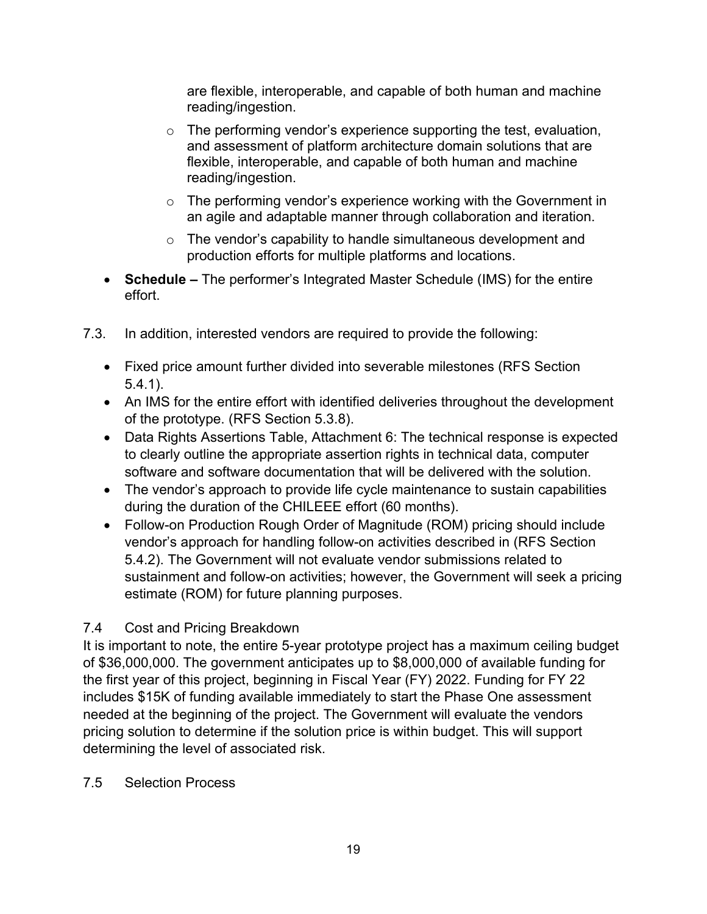are flexible, interoperable, and capable of both human and machine reading/ingestion.

- $\circ$  The performing vendor's experience supporting the test, evaluation, and assessment of platform architecture domain solutions that are flexible, interoperable, and capable of both human and machine reading/ingestion.
- $\circ$  The performing vendor's experience working with the Government in an agile and adaptable manner through collaboration and iteration.
- o The vendor's capability to handle simultaneous development and production efforts for multiple platforms and locations.
- **Schedule –** The performer's Integrated Master Schedule (IMS) for the entire effort.
- 7.3. In addition, interested vendors are required to provide the following:
	- Fixed price amount further divided into severable milestones (RFS Section 5.4.1).
	- An IMS for the entire effort with identified deliveries throughout the development of the prototype. (RFS Section 5.3.8).
	- Data Rights Assertions Table, Attachment 6: The technical response is expected to clearly outline the appropriate assertion rights in technical data, computer software and software documentation that will be delivered with the solution.
	- The vendor's approach to provide life cycle maintenance to sustain capabilities during the duration of the CHILEEE effort (60 months).
	- Follow-on Production Rough Order of Magnitude (ROM) pricing should include vendor's approach for handling follow-on activities described in (RFS Section 5.4.2). The Government will not evaluate vendor submissions related to sustainment and follow-on activities; however, the Government will seek a pricing estimate (ROM) for future planning purposes.

# 7.4 Cost and Pricing Breakdown

It is important to note, the entire 5-year prototype project has a maximum ceiling budget of \$36,000,000. The government anticipates up to \$8,000,000 of available funding for the first year of this project, beginning in Fiscal Year (FY) 2022. Funding for FY 22 includes \$15K of funding available immediately to start the Phase One assessment needed at the beginning of the project. The Government will evaluate the vendors pricing solution to determine if the solution price is within budget. This will support determining the level of associated risk.

#### 7.5 Selection Process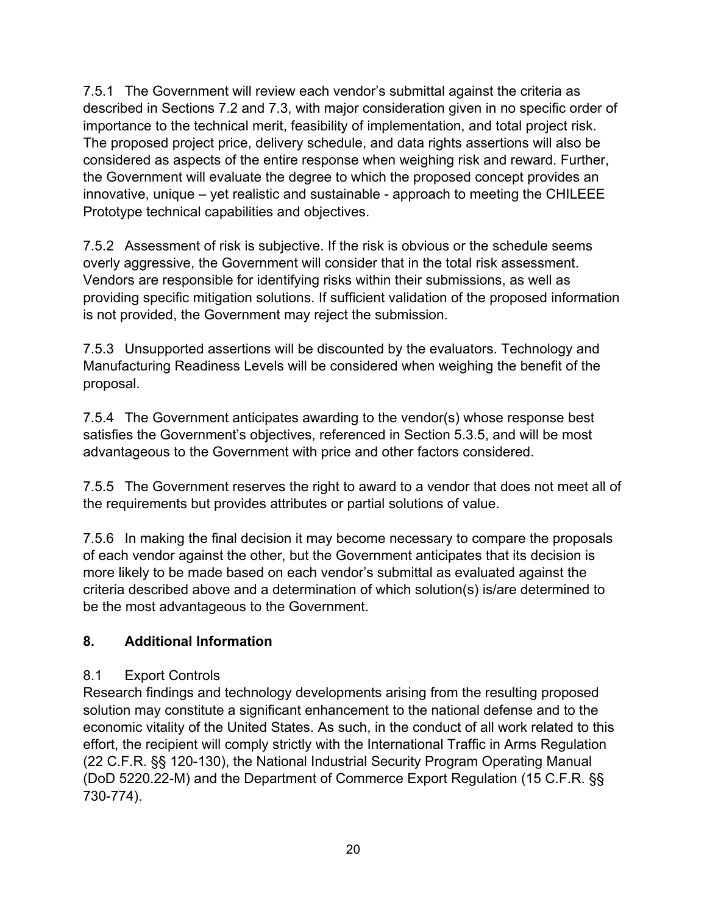7.5.1 The Government will review each vendor's submittal against the criteria as described in Sections 7.2 and 7.3, with major consideration given in no specific order of importance to the technical merit, feasibility of implementation, and total project risk. The proposed project price, delivery schedule, and data rights assertions will also be considered as aspects of the entire response when weighing risk and reward. Further, the Government will evaluate the degree to which the proposed concept provides an innovative, unique – yet realistic and sustainable - approach to meeting the CHILEEE Prototype technical capabilities and objectives.

7.5.2 Assessment of risk is subjective. If the risk is obvious or the schedule seems overly aggressive, the Government will consider that in the total risk assessment. Vendors are responsible for identifying risks within their submissions, as well as providing specific mitigation solutions. If sufficient validation of the proposed information is not provided, the Government may reject the submission.

7.5.3 Unsupported assertions will be discounted by the evaluators. Technology and Manufacturing Readiness Levels will be considered when weighing the benefit of the proposal.

7.5.4 The Government anticipates awarding to the vendor(s) whose response best satisfies the Government's objectives, referenced in Section 5.3.5, and will be most advantageous to the Government with price and other factors considered.

7.5.5 The Government reserves the right to award to a vendor that does not meet all of the requirements but provides attributes or partial solutions of value.

7.5.6 In making the final decision it may become necessary to compare the proposals of each vendor against the other, but the Government anticipates that its decision is more likely to be made based on each vendor's submittal as evaluated against the criteria described above and a determination of which solution(s) is/are determined to be the most advantageous to the Government.

#### **8. Additional Information**

#### 8.1 Export Controls

Research findings and technology developments arising from the resulting proposed solution may constitute a significant enhancement to the national defense and to the economic vitality of the United States. As such, in the conduct of all work related to this effort, the recipient will comply strictly with the International Traffic in Arms Regulation (22 C.F.R. §§ 120-130), the National Industrial Security Program Operating Manual (DoD 5220.22-M) and the Department of Commerce Export Regulation (15 C.F.R. §§ 730-774).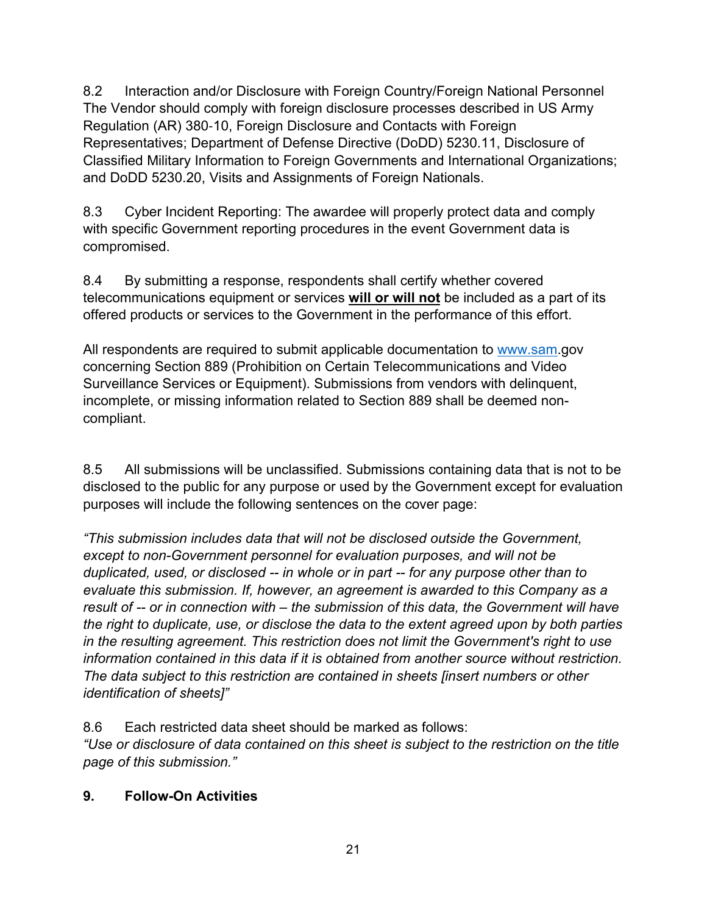8.2 Interaction and/or Disclosure with Foreign Country/Foreign National Personnel The Vendor should comply with foreign disclosure processes described in US Army Regulation (AR) 380‐10, Foreign Disclosure and Contacts with Foreign Representatives; Department of Defense Directive (DoDD) 5230.11, Disclosure of Classified Military Information to Foreign Governments and International Organizations; and DoDD 5230.20, Visits and Assignments of Foreign Nationals.

8.3 Cyber Incident Reporting: The awardee will properly protect data and comply with specific Government reporting procedures in the event Government data is compromised.

8.4 By submitting a response, respondents shall certify whether covered telecommunications equipment or services **will or will not** be included as a part of its offered products or services to the Government in the performance of this effort.

All respondents are required to submit applicable documentation to [www.sam.](http://www.sam/)gov concerning Section 889 (Prohibition on Certain Telecommunications and Video Surveillance Services or Equipment). Submissions from vendors with delinquent, incomplete, or missing information related to Section 889 shall be deemed noncompliant.

8.5 All submissions will be unclassified. Submissions containing data that is not to be disclosed to the public for any purpose or used by the Government except for evaluation purposes will include the following sentences on the cover page:

*"This submission includes data that will not be disclosed outside the Government, except to non-Government personnel for evaluation purposes, and will not be duplicated, used, or disclosed -- in whole or in part -- for any purpose other than to evaluate this submission. If, however, an agreement is awarded to this Company as a result of -- or in connection with – the submission of this data, the Government will have the right to duplicate, use, or disclose the data to the extent agreed upon by both parties in the resulting agreement. This restriction does not limit the Government's right to use information contained in this data if it is obtained from another source without restriction. The data subject to this restriction are contained in sheets [insert numbers or other identification of sheets]"*

8.6 Each restricted data sheet should be marked as follows:

*"Use or disclosure of data contained on this sheet is subject to the restriction on the title page of this submission."*

# **9. Follow-On Activities**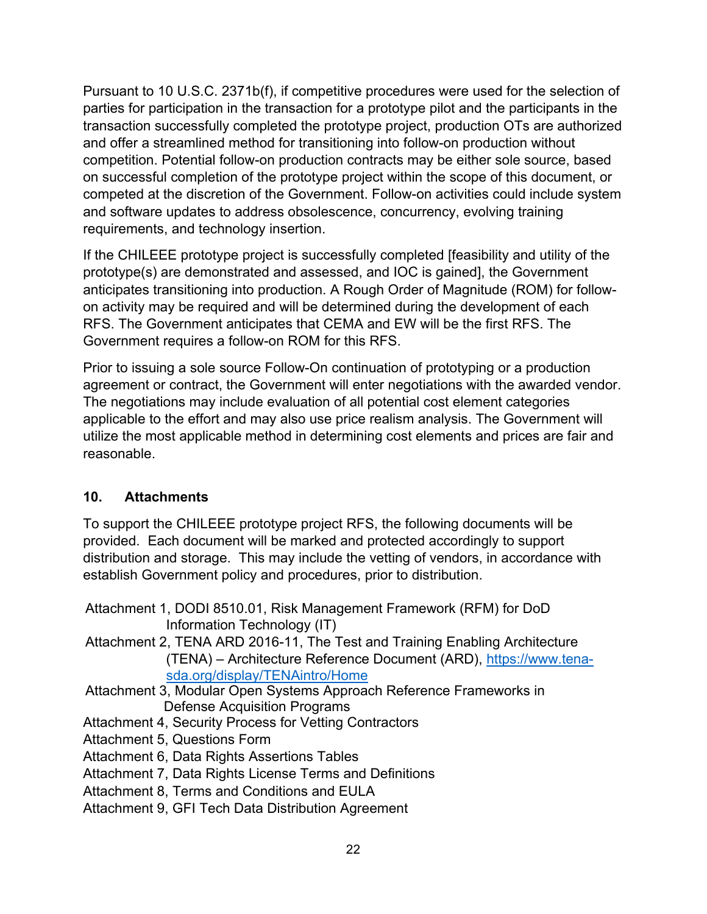Pursuant to 10 U.S.C. 2371b(f), if competitive procedures were used for the selection of parties for participation in the transaction for a prototype pilot and the participants in the transaction successfully completed the prototype project, production OTs are authorized and offer a streamlined method for transitioning into follow-on production without competition. Potential follow-on production contracts may be either sole source, based on successful completion of the prototype project within the scope of this document, or competed at the discretion of the Government. Follow-on activities could include system and software updates to address obsolescence, concurrency, evolving training requirements, and technology insertion.

If the CHILEEE prototype project is successfully completed [feasibility and utility of the prototype(s) are demonstrated and assessed, and IOC is gained], the Government anticipates transitioning into production. A Rough Order of Magnitude (ROM) for followon activity may be required and will be determined during the development of each RFS. The Government anticipates that CEMA and EW will be the first RFS. The Government requires a follow-on ROM for this RFS.

Prior to issuing a sole source Follow-On continuation of prototyping or a production agreement or contract, the Government will enter negotiations with the awarded vendor. The negotiations may include evaluation of all potential cost element categories applicable to the effort and may also use price realism analysis. The Government will utilize the most applicable method in determining cost elements and prices are fair and reasonable.

# **10. Attachments**

To support the CHILEEE prototype project RFS, the following documents will be provided. Each document will be marked and protected accordingly to support distribution and storage. This may include the vetting of vendors, in accordance with establish Government policy and procedures, prior to distribution.

- Attachment 1, DODI 8510.01, Risk Management Framework (RFM) for DoD Information Technology (IT)
- Attachment 2, TENA ARD 2016-11, The Test and Training Enabling Architecture (TENA) – Architecture Reference Document (ARD), [https://www.tena](https://www.tena-sda.org/display/TENAintro/Home)[sda.org/display/TENAintro/Home](https://www.tena-sda.org/display/TENAintro/Home)
- Attachment 3, Modular Open Systems Approach Reference Frameworks in Defense Acquisition Programs
- Attachment 4, Security Process for Vetting Contractors
- Attachment 5, Questions Form
- Attachment 6, Data Rights Assertions Tables
- Attachment 7, Data Rights License Terms and Definitions
- Attachment 8, Terms and Conditions and EULA
- Attachment 9, GFI Tech Data Distribution Agreement